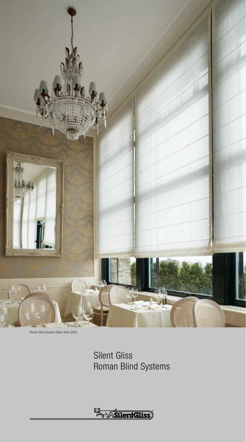

Roman Blind System Silent Gliss 2350

Silent Gliss Roman Blind Systems

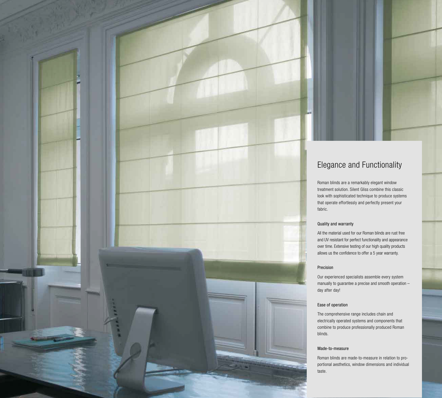

Roman blinds are a remarkably elegant window treatment solution. Silent Gliss combine this classic look with sophisticated technique to produce systems that operate effortlessly and perfectly present your fabric.

#### Quality and warranty

All the material used for our Roman blinds are rust free and UV resistant for perfect functionality and appearance over time. Extensive testing of our high quality products allows us the confidence to offer a 5 year warranty.

#### Precision

Our experienced specialists assemble every system manually to guarantee a precise and smooth operation – day after day!

#### Ease of operation

The comprehensive range includes chain and electrically operated systems and components that combine to produce professionally produced Roman blinds.

#### Made-to-measure

Roman blinds are made-to-measure in relation to proportional aesthetics, window dimensions and individual taste.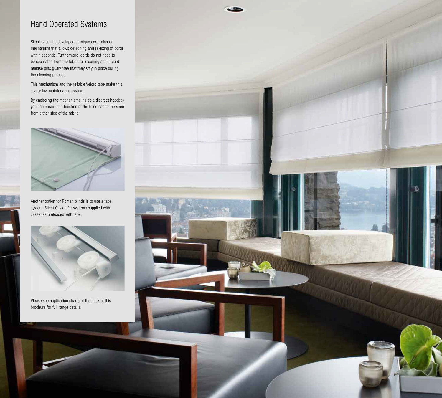### Hand Operated Systems

Silent Gliss has developed a unique cord release mechanism that allows detaching and re-fixing of cords within seconds. Furthermore, cords do not need to be separated from the fabric for cleaning as the cord release pins guarantee that they stay in place during the cleaning process.

This mechanism and the reliable Velcro tape make this a very low maintenance system.

By enclosing the mechanisms inside a discreet headbox you can ensure the function of the blind cannot be seen from either side of the fabric.



Another option for Roman blinds is to use a tape system. Silent Gliss offer systems supplied with cassettes preloaded with tape.



Please see application charts at the back of this brochure for full range details.

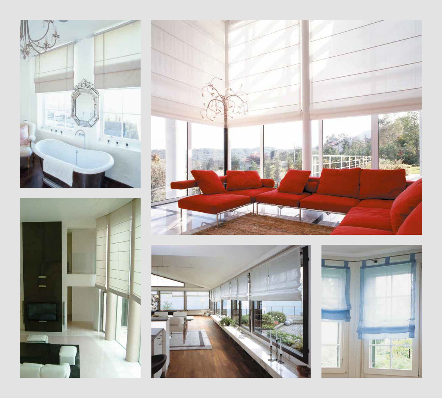







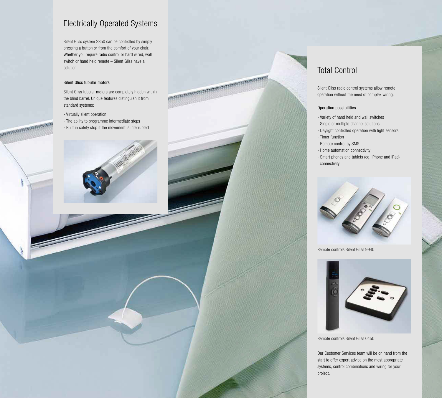## Electrically Operated Systems

Silent Gliss system 2350 can be controlled by simply pressing a button or from the comfort of your chair. Whether you require radio control or hard wired, wall switch or hand held remote – Silent Gliss have a solution.

#### Silent Gliss tubular motors

Silent Gliss tubular motors are completely hidden within the blind barrel. Unique features distinguish it from standard systems:

- Virtually silent operation

,,,,,,,,,,,,,,,,,,,,,,,,

- The ability to programme intermediate stops - Built in safety stop if the movement is interrupted

# Total Control

Silent Gliss radio control systems allow remote operation without the need of complex wiring.

#### Operation possibilities

- Variety of hand held and wall switches
- Single or multiple channel solutions
- Daylight controlled operation with light sensors
- Timer function
- Remote control by SMS
- Home automation connectivity
- Smart phones and tablets (eg. iPhone and iPad) connectivity



Remote controls Silent Gliss 9940



Remote controls Silent Gliss 0450

Our Customer Services team will be on hand from the start to offer expert advice on the most appropriate systems, control combinations and wiring for your project.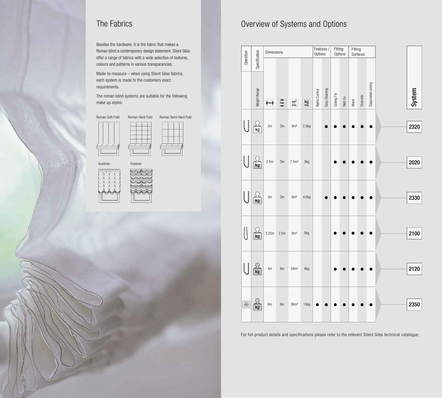### The Fabrics

Besides the hardware, it is the fabric that makes a Roman blind a contemporary design statement. Silent Gliss offer a range of fabrics with a wide selection of textures, colours and patterns in various transparancies.

Made-to-measure – when using Silent Gliss fabrics, each system is made to the customers exact requirements.

The roman blind systems are suitable for the following make up styles:





### Overview of Systems and Options

| Operation            | Specification | Dimensions   |                                                       |                       |                              | Features /<br>Options |               | Fitting<br>Options |          | Fitting<br>Surfaces |          |                   |        |
|----------------------|---------------|--------------|-------------------------------------------------------|-----------------------|------------------------------|-----------------------|---------------|--------------------|----------|---------------------|----------|-------------------|--------|
|                      |               |              |                                                       |                       |                              |                       |               |                    |          |                     |          |                   |        |
|                      | Weight Range  | $\sqrt{max}$ | $\overline{\text{max}}$ .<br>$\overline{\phantom{0}}$ | ${\rm m^2_{\rm max}}$ | $\underset{\max}{\text{kg}}$ | Radio Control         | Easy Cleaning | Ceiling Fix        | Wall Fix | Wood                | Concrete | Suspended ceiling | System |
| accoooop<br>Soooooop | kg            | 3m           | 3m                                                    | 9m <sup>2</sup>       | 2.5kg                        |                       |               |                    |          |                     |          |                   | 2320   |
| acocooop<br>secocoop | kg            | 2.5m         | 3m                                                    | 7.5 <sup>m2</sup>     | 3kg                          |                       |               |                    |          |                     |          |                   | 2020   |
| accocoo              | kg            | 3m           | 3m                                                    | 9m <sup>2</sup>       | 4.5kg                        |                       |               |                    |          |                     |          |                   | 2330   |
|                      | kg            | 3.25m        | 2.5m                                                  | 8m <sup>2</sup>       | 5kg                          |                       |               |                    |          |                     |          |                   | 2100   |
| acoocoop<br>ecoocoop | kg            | $4m$         | $6m$                                                  | 24m <sup>2</sup>      | 8kg                          |                       |               |                    |          |                     |          |                   | 2120   |
| ⊜                    | kg            | $6m$         | 6m                                                    | 36m <sup>2</sup>      | 15kg                         |                       |               |                    |          |                     |          |                   | 2350   |

For full product details and specifications please refer to the relevant Silent Gliss technical catalogue.